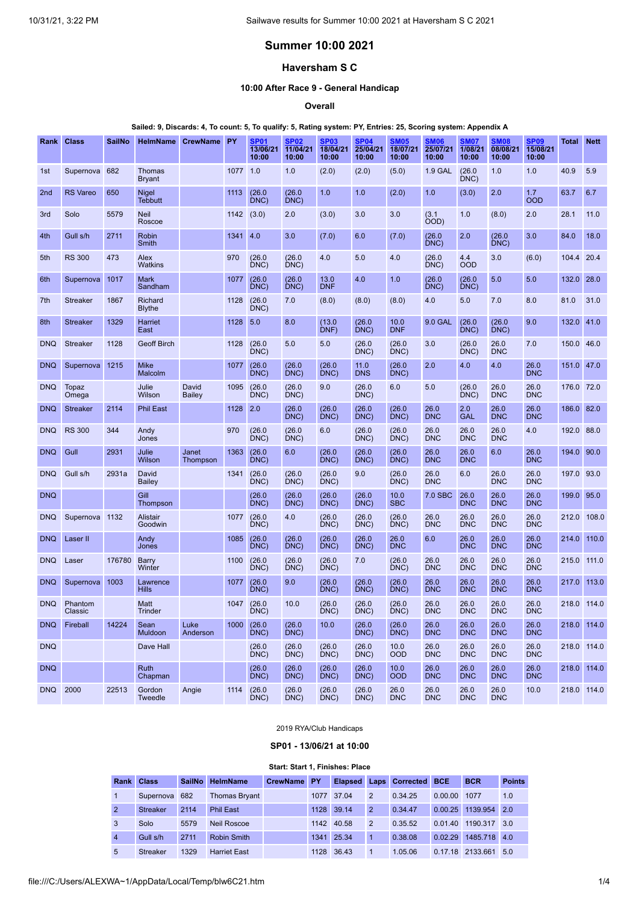# **Summer 10:00 2021**

# **Haversham S C**

## **10:00 After Race 9 - General Handicap**

**Overall**

## Sailed: 9, Discards: 4, To count: 5, To qualify: 5, Rating system: PY, Entries: 25, Scoring system: Appendix A

| Rank            | <b>Class</b>       | <b>SailNo</b> | <b>HelmName</b>                | <b>CrewName</b>        | <b>PY</b> | <b>SP01</b><br>13/06/21<br>10:00 | <b>SP02</b><br>11/04/21<br>10:00 | <b>SP03</b><br>18/04/21<br>10:00 | <b>SP04</b><br>25/04/21<br>10:00 | <b>SM05</b><br>18/07/21<br>10:00 | <b>SM06</b><br>25/07/21<br>10:00 | SM07<br>1/08/21<br>10:00 | <b>SM08</b><br>08/08/21<br>10:00 | <b>SP09</b><br>15/08/21<br>10:00 | Total       | <b>Nett</b> |
|-----------------|--------------------|---------------|--------------------------------|------------------------|-----------|----------------------------------|----------------------------------|----------------------------------|----------------------------------|----------------------------------|----------------------------------|--------------------------|----------------------------------|----------------------------------|-------------|-------------|
| 1st             | Supernova          | 682           | <b>Thomas</b><br><b>Bryant</b> |                        | 1077 1.0  |                                  | 1.0                              | (2.0)                            | (2.0)                            | (5.0)                            | 1.9 GAL                          | (26.0)<br>DNC)           | 1.0                              | 1.0                              | 40.9        | 5.9         |
| 2 <sub>nd</sub> | <b>RS Vareo</b>    | 650           | Nigel<br><b>Tebbutt</b>        |                        | 1113      | (26.0)<br>DNC)                   | (26.0)<br>DNC)                   | 1.0                              | 1.0                              | (2.0)                            | 1.0                              | (3.0)                    | 2.0                              | 1.7<br><b>OOD</b>                | 63.7        | 6.7         |
| 3rd             | Solo               | 5579          | <b>Neil</b><br>Roscoe          |                        | 1142      | (3.0)                            | 2.0                              | (3.0)                            | 3.0                              | 3.0                              | (3.1)<br>(OOD                    | 1.0                      | (8.0)                            | 2.0                              | 28.1        | 11.0        |
| 4th             | Gull s/h           | 2711          | Robin<br>Smith                 |                        | 1341      | 4.0                              | 3.0                              | (7.0)                            | 6.0                              | (7.0)                            | (26.0)<br>DNC)                   | 2.0                      | (26.0)<br>DNC)                   | 3.0                              | 84.0        | 18.0        |
| 5th             | <b>RS 300</b>      | 473           | Alex<br><b>Watkins</b>         |                        | 970       | (26.0)<br>DNC)                   | (26.0)<br>DNC)                   | 4.0                              | 5.0                              | 4.0                              | (26.0)<br>DNC)                   | 4.4<br><b>OOD</b>        | 3.0                              | (6.0)                            | 104.4       | 20.4        |
| 6th             | Supernova          | 1017          | <b>Mark</b><br>Sandham         |                        | 1077      | (26.0)<br>DNC)                   | (26.0)<br>DNC)                   | 13.0<br><b>DNF</b>               | 4.0                              | 1.0                              | (26.0)<br>DNC)                   | (26.0)<br>DNC)           | 5.0                              | 5.0                              | 132.0       | 28.0        |
| 7th             | <b>Streaker</b>    | 1867          | Richard<br><b>Blythe</b>       |                        | 1128      | (26.0)<br>DNC)                   | 7.0                              | (8.0)                            | (8.0)                            | (8.0)                            | 4.0                              | 5.0                      | 7.0                              | 8.0                              | 81.0        | 31.0        |
| 8th             | <b>Streaker</b>    | 1329          | Harriet<br>East                |                        | 1128      | 5.0                              | 8.0                              | (13.0)<br>DNF)                   | (26.0)<br>DNC)                   | 10.0<br><b>DNF</b>               | 9.0 GAL                          | (26.0)<br>DNC)           | (26.0)<br>DNC)                   | 9.0                              | 132.0       | 41.0        |
| <b>DNQ</b>      | <b>Streaker</b>    | 1128          | <b>Geoff Birch</b>             |                        | 1128      | (26.0)<br>DNC)                   | 5.0                              | 5.0                              | (26.0)<br>DNC)                   | (26.0)<br>DNC)                   | 3.0                              | (26.0)<br>DNC)           | 26.0<br><b>DNC</b>               | 7.0                              | 150.0       | 46.0        |
| <b>DNQ</b>      | Supernova          | 1215          | <b>Mike</b><br>Malcolm         |                        | 1077      | (26.0)<br>DNC)                   | (26.0)<br>DNC)                   | (26.0)<br>DNC)                   | 11.0<br><b>DNS</b>               | (26.0)<br>DNC)                   | 2.0                              | 4.0                      | 4.0                              | 26.0<br><b>DNC</b>               | 151.0       | 47.0        |
| <b>DNQ</b>      | Topaz<br>Omega     |               | Julie<br>Wilson                | David<br><b>Bailey</b> | 1095      | (26.0)<br>DNC)                   | (26.0)<br>DNC)                   | 9.0                              | (26.0)<br>DNC)                   | 6.0                              | 5.0                              | (26.0)<br>DNC)           | 26.0<br><b>DNC</b>               | 26.0<br><b>DNC</b>               | 176.0       | 72.0        |
| <b>DNQ</b>      | <b>Streaker</b>    | 2114          | <b>Phil East</b>               |                        | 1128      | 2.0                              | (26.0<br>DNC)                    | (26.0)<br>DNC)                   | (26.0)<br>DNC)                   | (26.0)<br>DNC)                   | 26.0<br><b>DNC</b>               | 2.0<br><b>GAL</b>        | 26.0<br><b>DNC</b>               | 26.0<br><b>DNC</b>               | 186.0       | 82.0        |
| <b>DNQ</b>      | <b>RS 300</b>      | 344           | Andy<br>Jones                  |                        | 970       | (26.0)<br>DNC)                   | (26.0)<br>DNC)                   | 6.0                              | (26.0)<br>DNC)                   | (26.0)<br>DNC)                   | 26.0<br><b>DNC</b>               | 26.0<br><b>DNC</b>       | 26.0<br><b>DNC</b>               | 4.0                              | 192.0       | 88.0        |
| <b>DNQ</b>      | Gull               | 2931          | Julie<br>Wilson                | Janet<br>Thompson      | 1363      | (26.0)<br>DNC)                   | 6.0                              | (26.0)<br>DNC)                   | (26.0)<br>DNC)                   | (26.0)<br>DNC)                   | 26.0<br><b>DNC</b>               | 26.0<br><b>DNC</b>       | 6.0                              | 26.0<br><b>DNC</b>               | 194.0       | 90.0        |
| <b>DNQ</b>      | Gull s/h           | 2931a         | David<br>Bailey                |                        | 1341      | (26.0)<br>DNC)                   | (26.0)<br>DNC)                   | (26.0)<br>DNC)                   | 9.0                              | (26.0)<br>DNC)                   | 26.0<br><b>DNC</b>               | 6.0                      | 26.0<br><b>DNC</b>               | 26.0<br><b>DNC</b>               | 197.0       | 93.0        |
| <b>DNQ</b>      |                    |               | Gill<br>Thompson               |                        |           | (26.0)<br>DNC)                   | (26.0)<br>DNC)                   | (26.0)<br>DNC)                   | (26.0)<br>DNC)                   | 10.0<br><b>SBC</b>               | 7.0 SBC                          | 26.0<br><b>DNC</b>       | 26.0<br><b>DNC</b>               | 26.0<br><b>DNC</b>               | 199.0       | 95.0        |
| <b>DNQ</b>      | Supernova 1132     |               | <b>Alistair</b><br>Goodwin     |                        | 1077      | (26.0)<br>DNC)                   | 4.0                              | (26.0)<br>DNC)                   | (26.0)<br>DNC                    | (26.0)<br>DNC)                   | 26.0<br><b>DNC</b>               | 26.0<br><b>DNC</b>       | 26.0<br><b>DNC</b>               | 26.0<br><b>DNC</b>               | 212.0       | 108.0       |
| <b>DNQ</b>      | Laser II           |               | Andy<br>Jones                  |                        | 1085      | (26.0)<br>DNC)                   | (26.0)<br>DNC)                   | (26.0)<br>DNC)                   | (26.0)<br>DNC)                   | 26.0<br><b>DNC</b>               | 6.0                              | 26.0<br><b>DNC</b>       | 26.0<br><b>DNC</b>               | 26.0<br><b>DNC</b>               | 214.0       | 110.0       |
| <b>DNQ</b>      | Laser              | 176780        | <b>Barry</b><br>Winter         |                        | 1100      | (26.0)<br>DNC)                   | (26.0)<br>DNC)                   | (26.0)<br>DNC)                   | 7.0                              | (26.0)<br>DNC)                   | 26.0<br><b>DNC</b>               | 26.0<br><b>DNC</b>       | 26.0<br><b>DNC</b>               | 26.0<br><b>DNC</b>               | 215.0       | 111.0       |
| <b>DNQ</b>      | Supernova          | 1003          | Lawrence<br><b>Hills</b>       |                        | 1077      | (26.0)<br>DNC)                   | 9.0                              | (26.0)<br>DNC)                   | (26.0)<br>DNC)                   | (26.0)<br>DNC)                   | 26.0<br><b>DNC</b>               | 26.0<br><b>DNC</b>       | 26.0<br><b>DNC</b>               | 26.0<br><b>DNC</b>               | 217.0       | 113.0       |
| <b>DNQ</b>      | Phantom<br>Classic |               | Matt<br><b>Trinder</b>         |                        | 1047      | (26.0)<br>DNC)                   | 10.0                             | (26.0)<br>DNC)                   | (26.0)<br>DNC)                   | (26.0)<br>DNC)                   | 26.0<br><b>DNC</b>               | 26.0<br><b>DNC</b>       | 26.0<br><b>DNC</b>               | 26.0<br><b>DNC</b>               | 218.0 114.0 |             |
| <b>DNQ</b>      | Fireball           | 14224         | Sean<br>Muldoon                | Luke<br>Anderson       | 1000      | (26.0)<br>DNC)                   | (26.0)<br>DNC)                   | 10.0                             | (26.0)<br>DNC)                   | (26.0)<br>DNC)                   | 26.0<br><b>DNC</b>               | 26.0<br><b>DNC</b>       | 26.0<br><b>DNC</b>               | 26.0<br><b>DNC</b>               | 218.0       | 114.0       |
| <b>DNQ</b>      |                    |               | Dave Hall                      |                        |           | (26.0)<br>DNC)                   | (26.0)<br>DNC                    | (26.0)<br>DNC)                   | (26.0)<br>DNC)                   | 10.0<br><b>OOD</b>               | 26.0<br><b>DNC</b>               | 26.0<br><b>DNC</b>       | 26.0<br><b>DNC</b>               | 26.0<br><b>DNC</b>               | 218.0 114.0 |             |
| <b>DNQ</b>      |                    |               | Ruth<br>Chapman                |                        |           | (26.0)<br>DNC)                   | (26.0)<br>DNC                    | (26.0)<br>DNC)                   | (26.0)<br>DNC)                   | 10.0<br><b>OOD</b>               | 26.0<br><b>DNC</b>               | 26.0<br><b>DNC</b>       | 26.0<br><b>DNC</b>               | 26.0<br><b>DNC</b>               | 218.0 114.0 |             |
| <b>DNQ</b>      | 2000               | 22513         | Gordon<br>Tweedle              | Angie                  | 1114      | (26.0)<br>DNC)                   | (26.0)<br>DNC)                   | (26.0)<br>DNC)                   | (26.0)<br>DNC)                   | 26.0<br><b>DNC</b>               | 26.0<br><b>DNC</b>               | 26.0<br><b>DNC</b>       | 26.0<br><b>DNC</b>               | 10.0                             | 218.0 114.0 |             |

2019 RYA/Club Handicaps

**SP01 - 13/06/21 at 10:00**

### **Start: Start 1, Finishes: Place**

<span id="page-0-0"></span>

|                | <b>Rank Class</b> |      | SailNo HelmName      | CrewName PY |      |            |                | Elapsed Laps Corrected | <b>BCE</b> | <b>BCR</b>   | <b>Points</b> |
|----------------|-------------------|------|----------------------|-------------|------|------------|----------------|------------------------|------------|--------------|---------------|
|                | Supernova         | 682  | <b>Thomas Bryant</b> |             | 1077 | 37.04      | $\overline{2}$ | 0.34.25                | 0.00.00    | 1077         | 1.0           |
| $\overline{2}$ | <b>Streaker</b>   | 2114 | <b>Phil East</b>     |             | 1128 | 39.14      | 2              | 0.34.47                | 0.00.25    | 1139.954     | 2.0           |
| 3              | Solo              | 5579 | Neil Roscoe          |             |      | 1142 40.58 | $\mathcal{P}$  | 0.35.52                | 0.01.40    | 1190.317     | 3.0           |
| $\overline{4}$ | Gull s/h          | 2711 | <b>Robin Smith</b>   |             |      | 1341 25.34 | -1             | 0.38.08                | 0.02.29    | 1485.718 4.0 |               |
| 5              | <b>Streaker</b>   | 1329 | <b>Harriet East</b>  |             | 1128 | 36.43      |                | 1.05.06                | 0.17.18    | 2133 661     | 5.0           |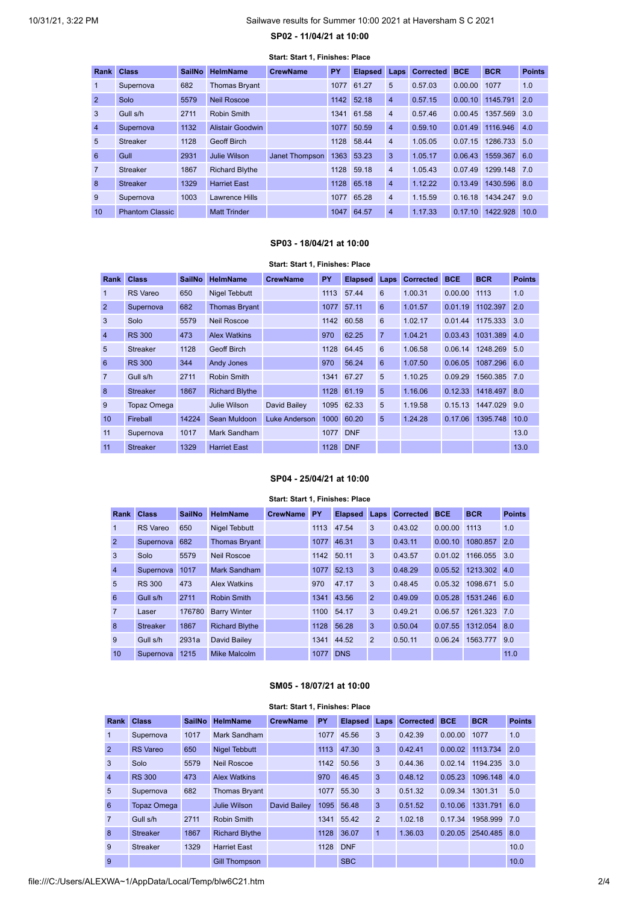## <span id="page-1-0"></span>10/31/21, 3:22 PM Sailwave results for Summer 10:00 2021 at Haversham S C 2021

## **SP02 - 11/04/21 at 10:00**

| Rank           | <b>Class</b>           | <b>SailNo</b> | <b>HelmName</b>       | <b>CrewName</b>       | <b>PY</b> | <b>Elapsed</b> | Laps           | <b>Corrected</b> | <b>BCE</b> | <b>BCR</b>   | <b>Points</b> |
|----------------|------------------------|---------------|-----------------------|-----------------------|-----------|----------------|----------------|------------------|------------|--------------|---------------|
| 1              | Supernova              | 682           | <b>Thomas Bryant</b>  |                       | 1077      | 61.27          | 5              | 0.57.03          | 0.00.00    | 1077         | 1.0           |
| $\overline{2}$ | Solo                   | 5579          | <b>Neil Roscoe</b>    |                       | 1142      | 52.18          | $\overline{4}$ | 0.57.15          | 0.00.10    | 1145.791     | 2.0           |
| 3              | Gull s/h               | 2711          | Robin Smith           |                       | 1341      | 61.58          | $\overline{4}$ | 0.57.46          | 0.00.45    | 1357.569     | 3.0           |
| $\overline{4}$ | Supernova              | 1132          | Alistair Goodwin      |                       | 1077      | 50.59          | $\overline{4}$ | 0.59.10          | 0.01.49    | 1116.946     | 4.0           |
| 5              | <b>Streaker</b>        | 1128          | <b>Geoff Birch</b>    |                       | 1128      | 58.44          | $\overline{4}$ | 1.05.05          | 0.07.15    | 1286.733     | 5.0           |
| 6              | Gull                   | 2931          | Julie Wilson          | <b>Janet Thompson</b> | 1363      | 53.23          | 3              | 1.05.17          | 0.06.43    | 1559.367 6.0 |               |
| $\overline{7}$ | <b>Streaker</b>        | 1867          | <b>Richard Blythe</b> |                       | 1128      | 59.18          | $\overline{4}$ | 1.05.43          | 0.07.49    | 1299.148     | 7.0           |
| 8              | <b>Streaker</b>        | 1329          | <b>Harriet East</b>   |                       | 1128      | 65.18          | $\overline{4}$ | 1.12.22          | 0.13.49    | 1430.596 8.0 |               |
| 9              | Supernova              | 1003          | Lawrence Hills        |                       | 1077      | 65.28          | $\overline{4}$ | 1.15.59          | 0.16.18    | 1434.247     | 9.0           |
| 10             | <b>Phantom Classic</b> |               | <b>Matt Trinder</b>   |                       | 1047      | 64.57          | $\overline{4}$ | 1.17.33          | 0.17.10    | 1422.928     | 10.0          |

#### **Start: Start 1, Finishes: Place**

# **SP03 - 18/04/21 at 10:00**

### **Start: Start 1, Finishes: Place**

<span id="page-1-1"></span>

| <b>Rank</b>    | <b>Class</b>       | <b>SailNo</b> | <b>HelmName</b>       | <b>CrewName</b> | PY   | <b>Elapsed</b> | <b>Laps</b>    | <b>Corrected</b> | <b>BCE</b> | <b>BCR</b>       | <b>Points</b> |
|----------------|--------------------|---------------|-----------------------|-----------------|------|----------------|----------------|------------------|------------|------------------|---------------|
| $\mathbf{1}$   | <b>RS</b> Vareo    | 650           | <b>Nigel Tebbutt</b>  |                 | 1113 | 57.44          | 6              | 1.00.31          | 0.00.00    | 1113             | 1.0           |
| $\overline{2}$ | Supernova          | 682           | <b>Thomas Bryant</b>  |                 | 1077 | 57.11          | 6              | 1.01.57          | 0.01.19    | 1102.397         | 2.0           |
| 3              | Solo               | 5579          | <b>Neil Roscoe</b>    |                 | 1142 | 60.58          | 6              | 1.02.17          | 0.01.44    | 1175.333         | 3.0           |
| $\overline{4}$ | <b>RS 300</b>      | 473           | <b>Alex Watkins</b>   |                 | 970  | 62.25          | $\overline{7}$ | 1.04.21          | 0.03.43    | 1031.389         | 4.0           |
| 5              | <b>Streaker</b>    | 1128          | <b>Geoff Birch</b>    |                 | 1128 | 64.45          | 6              | 1.06.58          | 0.06.14    | 1248.269         | 5.0           |
| 6              | <b>RS 300</b>      | 344           | <b>Andy Jones</b>     |                 | 970  | 56.24          | 6              | 1.07.50          | 0.06.05    | 1087.296         | 6.0           |
| $\overline{7}$ | Gull s/h           | 2711          | Robin Smith           |                 |      | 1341 67.27     | 5              | 1.10.25          | 0.09.29    | 1560.385         | 7.0           |
| 8              | <b>Streaker</b>    | 1867          | <b>Richard Blythe</b> |                 |      | 1128 61.19     | 5              | 1.16.06          |            | 0.12.33 1418.497 | 8.0           |
| 9              | <b>Topaz Omega</b> |               | Julie Wilson          | David Bailey    |      | 1095 62.33     | 5              | 1.19.58          |            | 0.15.13 1447.029 | 9.0           |
| 10             | Fireball           | 14224         | Sean Muldoon          | Luke Anderson   | 1000 | 60.20          | 5              | 1.24.28          | 0.17.06    | 1395.748         | 10.0          |
| 11             | Supernova          | 1017          | Mark Sandham          |                 | 1077 | <b>DNF</b>     |                |                  |            |                  | 13.0          |
| 11             | <b>Streaker</b>    | 1329          | <b>Harriet East</b>   |                 | 1128 | <b>DNF</b>     |                |                  |            |                  | 13.0          |

## **SP04 - 25/04/21 at 10:00**

### **Start: Start 1, Finishes: Place**

<span id="page-1-2"></span>

| Rank           | <b>Class</b>    | <b>SailNo</b> | <b>HelmName</b>       | <b>CrewName</b> | PY   | <b>Elapsed</b> | Laps           | <b>Corrected</b> | <b>BCE</b> | <b>BCR</b> | <b>Points</b> |
|----------------|-----------------|---------------|-----------------------|-----------------|------|----------------|----------------|------------------|------------|------------|---------------|
| 1              | <b>RS</b> Vareo | 650           | <b>Nigel Tebbutt</b>  |                 | 1113 | 47.54          | 3              | 0.43.02          | 0.00.00    | 1113       | 1.0           |
| $\overline{2}$ | Supernova       | 682           | <b>Thomas Bryant</b>  |                 | 1077 | 46.31          | 3              | 0.43.11          | 0.00.10    | 1080.857   | 2.0           |
| 3              | Solo            | 5579          | Neil Roscoe           |                 | 1142 | 50.11          | 3              | 0.43.57          | 0.01.02    | 1166.055   | 3.0           |
| $\overline{4}$ | Supernova       | 1017          | Mark Sandham          |                 | 1077 | 52.13          | 3              | 0.48.29          | 0.05.52    | 1213.302   | 4.0           |
| 5              | <b>RS 300</b>   | 473           | <b>Alex Watkins</b>   |                 | 970  | 47.17          | 3              | 0.48.45          | 0.05.32    | 1098.671   | 5.0           |
| 6              | Gull s/h        | 2711          | <b>Robin Smith</b>    |                 | 1341 | 43.56          | $\overline{2}$ | 0.49.09          | 0.05.28    | 1531.246   | 6.0           |
| $\overline{7}$ | Laser           | 176780        | <b>Barry Winter</b>   |                 | 1100 | 54.17          | 3              | 0.49.21          | 0.06.57    | 1261.323   | 7.0           |
| 8              | <b>Streaker</b> | 1867          | <b>Richard Blythe</b> |                 | 1128 | 56.28          | 3              | 0.50.04          | 0.07.55    | 1312.054   | 8.0           |
| 9              | Gull s/h        | 2931a         | David Bailey          |                 | 1341 | 44.52          | $\overline{2}$ | 0.50.11          | 0.06.24    | 1563.777   | 9.0           |
| 10             | Supernova       | 1215          | Mike Malcolm          |                 | 1077 | <b>DNS</b>     |                |                  |            |            | 11.0          |

## **SM05 - 18/07/21 at 10:00**

<span id="page-1-3"></span>

| Start: Start 1, Finishes: Place |                    |               |                       |                 |      |                |                |                  |            |            |               |
|---------------------------------|--------------------|---------------|-----------------------|-----------------|------|----------------|----------------|------------------|------------|------------|---------------|
| Rank                            | <b>Class</b>       | <b>SailNo</b> | <b>HelmName</b>       | <b>CrewName</b> | PY   | <b>Elapsed</b> | Laps           | <b>Corrected</b> | <b>BCE</b> | <b>BCR</b> | <b>Points</b> |
|                                 | Supernova          | 1017          | Mark Sandham          |                 | 1077 | 45.56          | 3              | 0.42.39          | 0.00.00    | 1077       | 1.0           |
| $\overline{2}$                  | <b>RS</b> Vareo    | 650           | <b>Nigel Tebbutt</b>  |                 | 1113 | 47.30          | 3              | 0.42.41          | 0.00.02    | 1113.734   | 2.0           |
| 3                               | Solo               | 5579          | <b>Neil Roscoe</b>    |                 | 1142 | 50.56          | 3              | 0.44.36          | 0.02.14    | 1194.235   | 3.0           |
| $\overline{4}$                  | <b>RS 300</b>      | 473           | <b>Alex Watkins</b>   |                 | 970  | 46.45          | 3              | 0.48.12          | 0.05.23    | 1096.148   | 4.0           |
| 5                               | Supernova          | 682           | <b>Thomas Bryant</b>  |                 | 1077 | 55.30          | 3              | 0.51.32          | 0.09.34    | 1301.31    | 5.0           |
| 6                               | <b>Topaz Omega</b> |               | Julie Wilson          | David Bailey    | 1095 | 56.48          | 3              | 0.51.52          | 0.10.06    | 1331.791   | 6.0           |
| $\overline{7}$                  | Gull s/h           | 2711          | <b>Robin Smith</b>    |                 | 1341 | 55.42          | $\overline{2}$ | 1.02.18          | 0.17.34    | 1958.999   | 7.0           |
| 8                               | <b>Streaker</b>    | 1867          | <b>Richard Blythe</b> |                 | 1128 | 36.07          | $\mathbf{1}$   | 1.36.03          | 0.20.05    | 2540.485   | 8.0           |
| 9                               | <b>Streaker</b>    | 1329          | <b>Harriet East</b>   |                 | 1128 | <b>DNF</b>     |                |                  |            |            | 10.0          |
| 9                               |                    |               | <b>Gill Thompson</b>  |                 |      | <b>SBC</b>     |                |                  |            |            | 10.0          |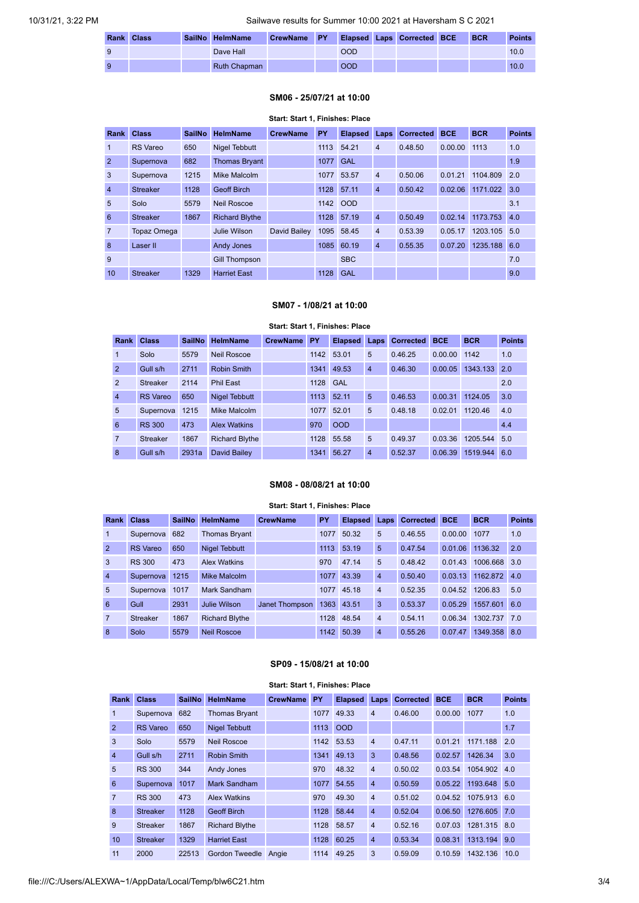|    | Rank Class | SailNo HelmName | CrewName PY |            | Elapsed Laps Corrected BCE | <b>BCR</b> | <b>Points</b> |
|----|------------|-----------------|-------------|------------|----------------------------|------------|---------------|
|    |            | Dave Hall       |             | <b>OOD</b> |                            |            | 10.0          |
| -9 |            | Ruth Chapman    |             | <b>OOD</b> |                            |            | 10.0          |

### **SM06 - 25/07/21 at 10:00**

# <span id="page-2-0"></span>**Start: Start 1, Finishes: Place Rank Class SailNo HelmName CrewName PY Elapsed Laps Corrected BCE BCR Points** RS Vareo 650 Nigel Tebbutt 1113 54.21 4 0.48.50 0.00.00 1113 1.0 2 Supernova 682 Thomas Bryant 1077 GAL 1077 GAL 1.9 Supernova 1215 Mike Malcolm 1077 53.57 4 0.50.06 0.01.21 1104.809 2.0 Streaker 1128 Geoff Birch 1128 57.11 4 0.50.42 0.02.06 1171.022 3.0 5 Solo 5579 Neil Roscoe 1142 OOD 3.1 Streaker 1867 Richard Blythe 1128 57.19 4 0.50.49 0.02.14 1173.753 4.0 Topaz Omega Julie Wilson David Bailey 1095 58.45 4 0.53.39 0.05.17 1203.105 5.0 8 Laser II Andy Jones 1085 60.19 4 0.55.35 0.07.20 1235.188 6.0 9 Gill Thompson SBC 56 SBC 7.0 10 Streaker 1329 Harriet East 1128 GAL 9.0

## **SM07 - 1/08/21 at 10:00**

### **Start: Start 1, Finishes: Place**

<span id="page-2-1"></span>

| Rank           | <b>Class</b>    | <b>SailNo</b> | <b>HelmName</b>       | <b>CrewName</b> | <b>PY</b> | <b>Elapsed</b> | Laps           | <b>Corrected</b> | <b>BCE</b> | <b>BCR</b> | <b>Points</b> |
|----------------|-----------------|---------------|-----------------------|-----------------|-----------|----------------|----------------|------------------|------------|------------|---------------|
|                | Solo            | 5579          | <b>Neil Roscoe</b>    |                 |           | 1142 53.01     | 5              | 0.46.25          | 0.00.00    | 1142       | 1.0           |
| $\overline{2}$ | Gull s/h        | 2711          | Robin Smith           |                 | 1341      | 49.53          | $\overline{4}$ | 0.46.30          | 0.00.05    | 1343.133   | 2.0           |
| 2              | <b>Streaker</b> | 2114          | <b>Phil East</b>      |                 | 1128      | <b>GAL</b>     |                |                  |            |            | 2.0           |
| $\overline{4}$ | <b>RS</b> Vareo | 650           | <b>Nigel Tebbutt</b>  |                 | 1113      | 52.11          | 5              | 0.46.53          | 0.00.31    | 1124.05    | 3.0           |
| 5              | Supernova       | 1215          | Mike Malcolm          |                 | 1077      | 52.01          | 5              | 0.48.18          | 0.02.01    | 1120.46    | 4.0           |
| 6              | <b>RS 300</b>   | 473           | <b>Alex Watkins</b>   |                 | 970       | <b>OOD</b>     |                |                  |            |            | 4.4           |
| 7              | <b>Streaker</b> | 1867          | <b>Richard Blythe</b> |                 | 1128      | 55.58          | 5              | 0.49.37          | 0.03.36    | 1205.544   | 5.0           |
| 8              | Gull s/h        | 2931a         | <b>David Bailev</b>   |                 | 1341      | 56.27          | $\overline{4}$ | 0.52.37          | 0.06.39    | 1519.944   | 6.0           |

#### **SM08 - 08/08/21 at 10:00**

#### **Start: Start 1, Finishes: Place**

<span id="page-2-2"></span>

| Rank           | <b>Class</b>    | <b>SailNo</b> | <b>HelmName</b>       | <b>CrewName</b> | PY   | <b>Elapsed</b> | Laps           | <b>Corrected</b> | <b>BCE</b> | <b>BCR</b> | <b>Points</b> |
|----------------|-----------------|---------------|-----------------------|-----------------|------|----------------|----------------|------------------|------------|------------|---------------|
| $\mathbf{1}$   | Supernova       | 682           | <b>Thomas Bryant</b>  |                 | 1077 | 50.32          | 5              | 0.46.55          | 0.00.00    | 1077       | 1.0           |
| 2              | <b>RS</b> Vareo | 650           | <b>Nigel Tebbutt</b>  |                 | 1113 | 53.19          | 5              | 0.47.54          | 0.01.06    | 1136.32    | 2.0           |
| 3              | <b>RS 300</b>   | 473           | <b>Alex Watkins</b>   |                 | 970  | 47.14          | 5              | 0.48.42          | 0.01.43    | 1006.668   | 3.0           |
| $\overline{4}$ | Supernova       | 1215          | Mike Malcolm          |                 | 1077 | 43.39          | $\overline{4}$ | 0.50.40          | 0.03.13    | 1162.872   | 4.0           |
| 5              | Supernova       | 1017          | Mark Sandham          |                 | 1077 | 45.18          | $\overline{4}$ | 0.52.35          | 0.04.52    | 1206.83    | 5.0           |
| 6              | Gull            | 2931          | Julie Wilson          | Janet Thompson  | 1363 | 43.51          | 3              | 0.53.37          | 0.05.29    | 1557.601   | 6.0           |
| $\overline{7}$ | <b>Streaker</b> | 1867          | <b>Richard Blythe</b> |                 | 1128 | 48.54          | $\overline{4}$ | 0.54.11          | 0.06.34    | 1302.737   | 7.0           |
| 8              | Solo            | 5579          | <b>Neil Roscoe</b>    |                 | 1142 | 50.39          | $\overline{4}$ | 0.55.26          | 0.07.47    | 1349.358   | 8.0           |

## **SP09 - 15/08/21 at 10:00**

<span id="page-2-3"></span>

| Rank           | <b>Class</b>    | <b>SailNo</b> | <b>HelmName</b>       | <b>CrewName</b> | <b>PY</b> | <b>Elapsed</b> | Laps           | <b>Corrected</b> | <b>BCE</b> | <b>BCR</b> | <b>Points</b> |
|----------------|-----------------|---------------|-----------------------|-----------------|-----------|----------------|----------------|------------------|------------|------------|---------------|
| 1              | Supernova       | 682           | <b>Thomas Bryant</b>  |                 | 1077      | 49.33          | $\overline{4}$ | 0.46.00          | 0.00.00    | 1077       | 1.0           |
| 2              | <b>RS</b> Vareo | 650           | <b>Nigel Tebbutt</b>  |                 | 1113      | <b>OOD</b>     |                |                  |            |            | 1.7           |
| 3              | Solo            | 5579          | <b>Neil Roscoe</b>    |                 | 1142      | 53.53          | $\overline{4}$ | 0.47.11          | 0.01.21    | 1171.188   | 2.0           |
| $\overline{4}$ | Gull s/h        | 2711          | <b>Robin Smith</b>    |                 | 1341      | 49.13          | 3              | 0.48.56          | 0.02.57    | 1426.34    | 3.0           |
| 5              | <b>RS 300</b>   | 344           | <b>Andy Jones</b>     |                 | 970       | 48.32          | $\overline{4}$ | 0.50.02          | 0.03.54    | 1054.902   | 4.0           |
| 6              | Supernova       | 1017          | Mark Sandham          |                 | 1077      | 54.55          | $\overline{4}$ | 0.50.59          | 0.05.22    | 1193.648   | 5.0           |
| $\overline{7}$ | <b>RS 300</b>   | 473           | <b>Alex Watkins</b>   |                 | 970       | 49.30          | $\overline{4}$ | 0.51.02          | 0.04.52    | 1075.913   | 6.0           |
| 8              | <b>Streaker</b> | 1128          | <b>Geoff Birch</b>    |                 | 1128      | 58.44          | $\overline{4}$ | 0.52.04          | 0.06.50    | 1276.605   | 7.0           |
| 9              | <b>Streaker</b> | 1867          | <b>Richard Blythe</b> |                 | 1128      | 58.57          | $\overline{4}$ | 0.52.16          | 0.07.03    | 1281.315   | 8.0           |
| 10             | <b>Streaker</b> | 1329          | <b>Harriet East</b>   |                 | 1128      | 60.25          | $\overline{4}$ | 0.53.34          | 0.08.31    | 1313.194   | 9.0           |
| 11             | 2000            | 22513         | Gordon Tweedle        | Angie           | 1114      | 49.25          | 3              | 0.59.09          | 0.10.59    | 1432.136   | 10.0          |